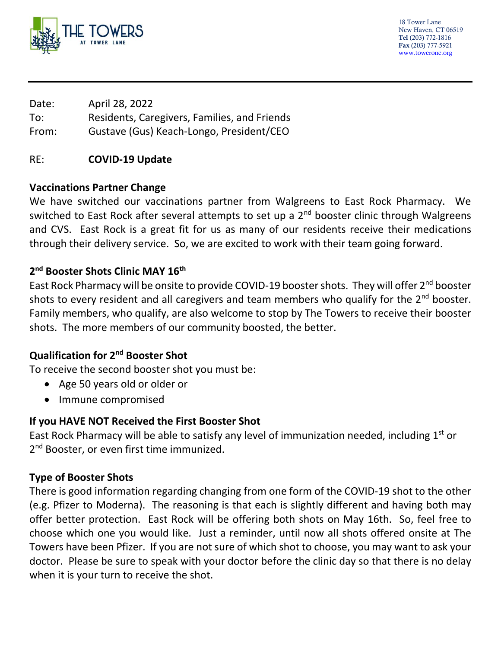

18 Tower Lane New Haven, CT 06519 Tel (203) 772-1816 Fax (203) 777-5921 [www.towerone.org](http://www.towerone.org/)

Date: April 28, 2022 To: Residents, Caregivers, Families, and Friends From: Gustave (Gus) Keach-Longo, President/CEO

# RE: **COVID-19 Update**

### **Vaccinations Partner Change**

We have switched our vaccinations partner from Walgreens to East Rock Pharmacy. We switched to East Rock after several attempts to set up a 2<sup>nd</sup> booster clinic through Walgreens and CVS. East Rock is a great fit for us as many of our residents receive their medications through their delivery service. So, we are excited to work with their team going forward.

# **2 nd Booster Shots Clinic MAY 16th**

East Rock Pharmacy will be onsite to provide COVID-19 booster shots. They will offer 2<sup>nd</sup> booster shots to every resident and all caregivers and team members who qualify for the  $2<sup>nd</sup>$  booster. Family members, who qualify, are also welcome to stop by The Towers to receive their booster shots. The more members of our community boosted, the better.

# **Qualification for 2nd Booster Shot**

To receive the second booster shot you must be:

- Age 50 years old or older or
- Immune compromised

# **If you HAVE NOT Received the First Booster Shot**

East Rock Pharmacy will be able to satisfy any level of immunization needed, including  $1<sup>st</sup>$  or 2<sup>nd</sup> Booster, or even first time immunized.

# **Type of Booster Shots**

There is good information regarding changing from one form of the COVID-19 shot to the other (e.g. Pfizer to Moderna). The reasoning is that each is slightly different and having both may offer better protection. East Rock will be offering both shots on May 16th. So, feel free to choose which one you would like. Just a reminder, until now all shots offered onsite at The Towers have been Pfizer. If you are not sure of which shot to choose, you may want to ask your doctor. Please be sure to speak with your doctor before the clinic day so that there is no delay when it is your turn to receive the shot.